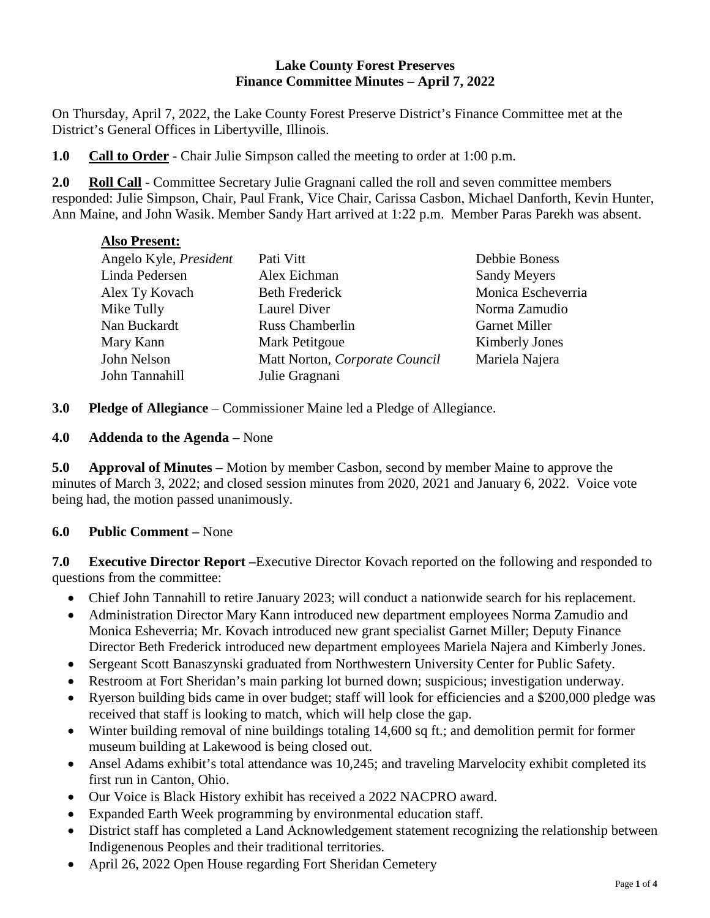### **Lake County Forest Preserves Finance Committee Minutes – April 7, 2022**

On Thursday, April 7, 2022, the Lake County Forest Preserve District's Finance Committee met at the District's General Offices in Libertyville, Illinois.

**1.0 Call to Order -** Chair Julie Simpson called the meeting to order at 1:00 p.m.

**2.0 Roll Call** - Committee Secretary Julie Gragnani called the roll and seven committee members responded: Julie Simpson, Chair, Paul Frank, Vice Chair, Carissa Casbon, Michael Danforth, Kevin Hunter, Ann Maine, and John Wasik. Member Sandy Hart arrived at 1:22 p.m. Member Paras Parekh was absent.

## **Also Present:**

| Angelo Kyle, President | Pati Vitt                      | Debbie Boness        |
|------------------------|--------------------------------|----------------------|
| Linda Pedersen         | Alex Eichman                   | <b>Sandy Meyers</b>  |
| Alex Ty Kovach         | <b>Beth Frederick</b>          | Monica Escheverria   |
| Mike Tully             | Laurel Diver                   | Norma Zamudio        |
| Nan Buckardt           | <b>Russ Chamberlin</b>         | <b>Garnet Miller</b> |
| Mary Kann              | <b>Mark Petitgoue</b>          | Kimberly Jones       |
| John Nelson            | Matt Norton, Corporate Council | Mariela Najera       |
| John Tannahill         | Julie Gragnani                 |                      |

**3.0 Pledge of Allegiance** – Commissioner Maine led a Pledge of Allegiance.

## **4.0 Addenda to the Agenda** – None

**5.0 Approval of Minutes** – Motion by member Casbon, second by member Maine to approve the minutes of March 3, 2022; and closed session minutes from 2020, 2021 and January 6, 2022. Voice vote being had, the motion passed unanimously.

## **6.0 Public Comment –** None

**7.0 Executive Director Report –**Executive Director Kovach reported on the following and responded to questions from the committee:

- Chief John Tannahill to retire January 2023; will conduct a nationwide search for his replacement.
- Administration Director Mary Kann introduced new department employees Norma Zamudio and Monica Esheverria; Mr. Kovach introduced new grant specialist Garnet Miller; Deputy Finance Director Beth Frederick introduced new department employees Mariela Najera and Kimberly Jones.
- Sergeant Scott Banaszynski graduated from Northwestern University Center for Public Safety.
- Restroom at Fort Sheridan's main parking lot burned down; suspicious; investigation underway.
- Ryerson building bids came in over budget; staff will look for efficiencies and a \$200,000 pledge was received that staff is looking to match, which will help close the gap.
- Winter building removal of nine buildings totaling 14,600 sq ft.; and demolition permit for former museum building at Lakewood is being closed out.
- Ansel Adams exhibit's total attendance was 10,245; and traveling Marvelocity exhibit completed its first run in Canton, Ohio.
- Our Voice is Black History exhibit has received a 2022 NACPRO award.
- Expanded Earth Week programming by environmental education staff.
- District staff has completed a Land Acknowledgement statement recognizing the relationship between Indigenenous Peoples and their traditional territories.
- April 26, 2022 Open House regarding Fort Sheridan Cemetery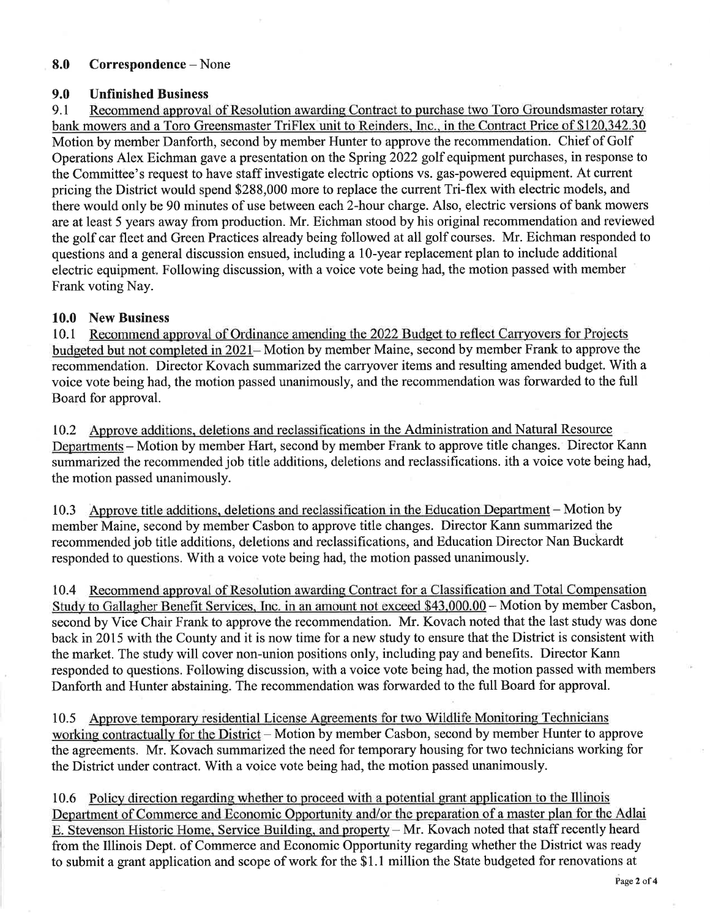#### 8.0 Correspondence – None

#### 9.0 **Unfinished Business**

 $9.1$ Recommend approval of Resolution awarding Contract to purchase two Toro Groundsmaster rotary bank mowers and a Toro Greensmaster TriFlex unit to Reinders, Inc., in the Contract Price of \$120,342.30 Motion by member Danforth, second by member Hunter to approve the recommendation. Chief of Golf Operations Alex Eichman gave a presentation on the Spring 2022 golf equipment purchases, in response to the Committee's request to have staff investigate electric options vs. gas-powered equipment. At current pricing the District would spend \$288,000 more to replace the current Tri-flex with electric models, and there would only be 90 minutes of use between each 2-hour charge. Also, electric versions of bank mowers are at least 5 years away from production. Mr. Eichman stood by his original recommendation and reviewed the golf car fleet and Green Practices already being followed at all golf courses. Mr. Eichman responded to questions and a general discussion ensued, including a 10-year replacement plan to include additional electric equipment. Following discussion, with a voice vote being had, the motion passed with member Frank voting Nay.

## 10.0 New Business

10.1 Recommend approval of Ordinance amending the 2022 Budget to reflect Carryovers for Projects budgeted but not completed in 2021–Motion by member Maine, second by member Frank to approve the recommendation. Director Kovach summarized the carryover items and resulting amended budget. With a voice vote being had, the motion passed unanimously, and the recommendation was forwarded to the full Board for approval.

10.2 Approve additions, deletions and reclassifications in the Administration and Natural Resource Departments – Motion by member Hart, second by member Frank to approve title changes. Director Kann summarized the recommended job title additions, deletions and reclassifications, ith a voice vote being had, the motion passed unanimously.

Approve title additions, deletions and reclassification in the Education Department – Motion by 10.3 member Maine, second by member Casbon to approve title changes. Director Kann summarized the recommended job title additions, deletions and reclassifications, and Education Director Nan Buckardt responded to questions. With a voice vote being had, the motion passed unanimously.

10.4 Recommend approval of Resolution awarding Contract for a Classification and Total Compensation Study to Gallagher Benefit Services, Inc. in an amount not exceed \$43,000.00 - Motion by member Casbon, second by Vice Chair Frank to approve the recommendation. Mr. Kovach noted that the last study was done back in 2015 with the County and it is now time for a new study to ensure that the District is consistent with the market. The study will cover non-union positions only, including pay and benefits. Director Kann responded to questions. Following discussion, with a voice vote being had, the motion passed with members Danforth and Hunter abstaining. The recommendation was forwarded to the full Board for approval.

Approve temporary residential License Agreements for two Wildlife Monitoring Technicians  $10.5$ working contractually for the District - Motion by member Casbon, second by member Hunter to approve the agreements. Mr. Kovach summarized the need for temporary housing for two technicians working for the District under contract. With a voice vote being had, the motion passed unanimously.

10.6 Policy direction regarding whether to proceed with a potential grant application to the Illinois Department of Commerce and Economic Opportunity and/or the preparation of a master plan for the Adlai E. Stevenson Historic Home, Service Building, and property – Mr. Kovach noted that staff recently heard from the Illinois Dept. of Commerce and Economic Opportunity regarding whether the District was ready to submit a grant application and scope of work for the \$1.1 million the State budgeted for renovations at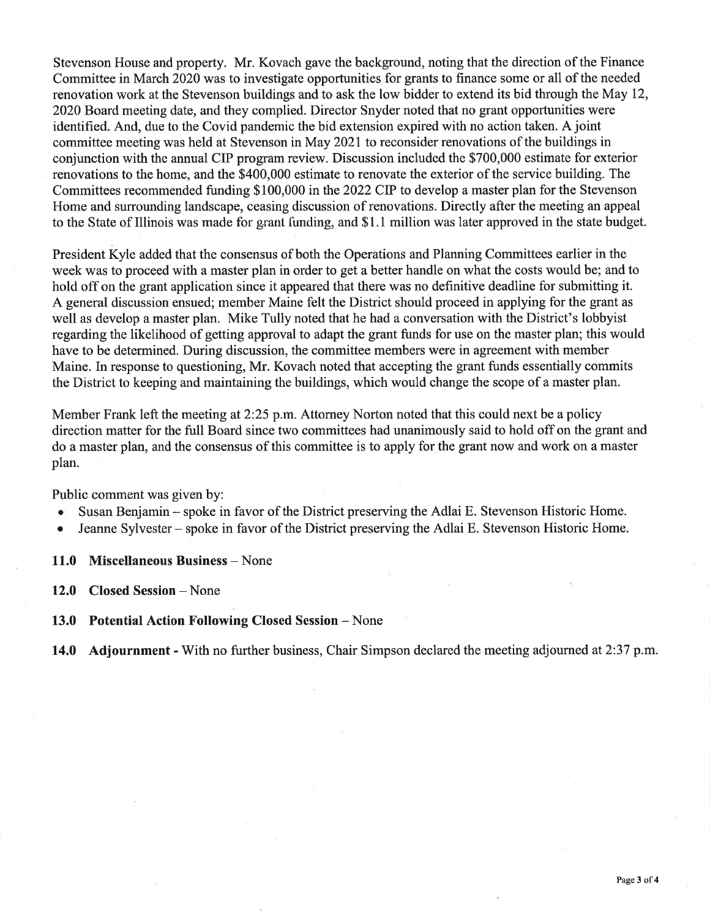Stevenson House and property. Mr. Kovach gave the background, noting that the direction of the Finance Committee in March 2020 was to investigate opportunities for grants to finance some or all of the needed renovation work at the Stevenson buildings and to ask the low bidder to extend its bid through the May 12, 2020 Board meeting date, and they complied. Director Snyder noted that no grant opportunities were identified. And, due to the Covid pandemic the bid extension expired with no action taken. A joint committee meeting was held at Stevenson in May 2021 to reconsider renovations of the buildings in conjunction with the annual CIP program review. Discussion included the \$700,000 estimate for exterior renovations to the home, and the \$400,000 estimate to renovate the exterior of the service building. The Committees recommended funding \$100,000 in the 2022 CIP to develop a master plan for the Stevenson Home and surrounding landscape, ceasing discussion of renovations. Directly after the meeting an appeal to the State of Illinois was made for grant funding, and \$1.1 million was later approved in the state budget.

President Kyle added that the consensus of both the Operations and Planning Committees earlier in the week was to proceed with a master plan in order to get a better handle on what the costs would be; and to hold off on the grant application since it appeared that there was no definitive deadline for submitting it. A general discussion ensued; member Maine felt the District should proceed in applying for the grant as well as develop a master plan. Mike Tully noted that he had a conversation with the District's lobbyist regarding the likelihood of getting approval to adapt the grant funds for use on the master plan; this would have to be determined. During discussion, the committee members were in agreement with member Maine. In response to questioning, Mr. Kovach noted that accepting the grant funds essentially commits the District to keeping and maintaining the buildings, which would change the scope of a master plan.

Member Frank left the meeting at 2:25 p.m. Attorney Norton noted that this could next be a policy direction matter for the full Board since two committees had unanimously said to hold off on the grant and do a master plan, and the consensus of this committee is to apply for the grant now and work on a master plan.

Public comment was given by:

- Susan Benjamin spoke in favor of the District preserving the Adlai E. Stevenson Historic Home.  $\bullet$
- Jeanne Sylvester spoke in favor of the District preserving the Adlai E. Stevenson Historic Home.
- 11.0 Miscellaneous Business None
- 12.0 Closed Session None
- 13.0 Potential Action Following Closed Session None
- 14.0 Adjournment With no further business, Chair Simpson declared the meeting adjourned at 2:37 p.m.